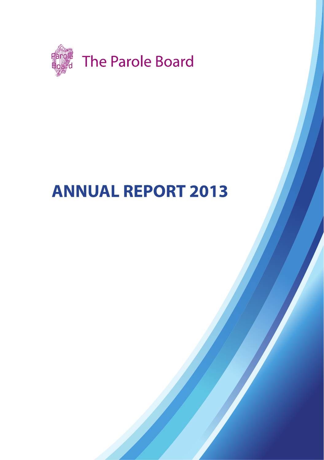

# **ANNUAL REPORT 2013**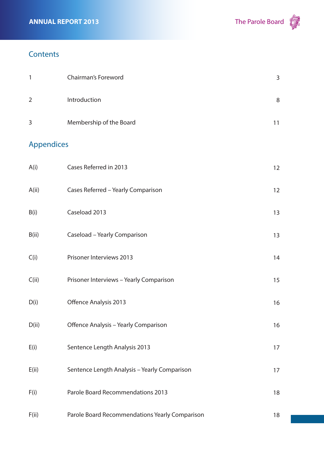

# **Contents**

| $\mathbf{1}$      | Chairman's Foreword                            | 3  |
|-------------------|------------------------------------------------|----|
| $\overline{2}$    | Introduction                                   | 8  |
| 3                 | Membership of the Board                        | 11 |
| <b>Appendices</b> |                                                |    |
| A(i)              | Cases Referred in 2013                         | 12 |
| A(i)              | Cases Referred - Yearly Comparison             | 12 |
| B(i)              | Caseload 2013                                  | 13 |
| B(ii)             | Caseload - Yearly Comparison                   | 13 |
| C(i)              | Prisoner Interviews 2013                       | 14 |
| C(i)              | Prisoner Interviews - Yearly Comparison        | 15 |
| D(i)              | Offence Analysis 2013                          | 16 |
| D(i)              | Offence Analysis - Yearly Comparison           | 16 |
| E(i)              | Sentence Length Analysis 2013                  | 17 |
| E(ii)             | Sentence Length Analysis - Yearly Comparison   | 17 |
| F(i)              | Parole Board Recommendations 2013              | 18 |
| F(ii)             | Parole Board Recommendations Yearly Comparison | 18 |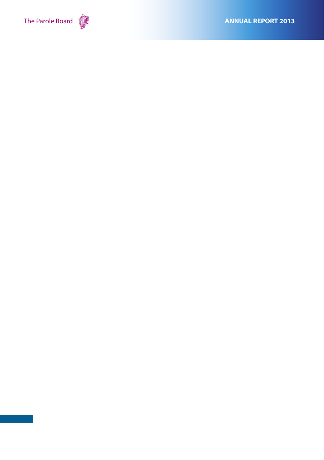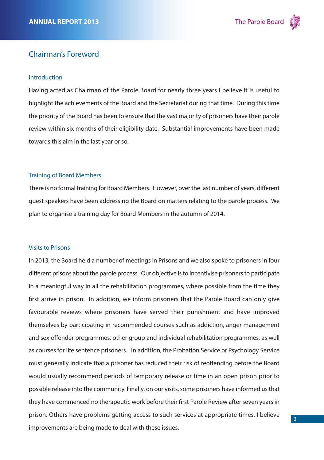

#### Chairman's Foreword

#### Introduction

Having acted as Chairman of the Parole Board for nearly three years I believe it is useful to highlight the achievements of the Board and the Secretariat during that time. During this time the priority of the Board has been to ensure that the vast majority of prisoners have their parole review within six months of their eligibility date. Substantial improvements have been made towards this aim in the last year or so.

#### Training of Board Members

There is no formal training for Board Members. However, over the last number of years, different guest speakers have been addressing the Board on matters relating to the parole process. We plan to organise a training day for Board Members in the autumn of 2014.

#### Visits to Prisons

In 2013, the Board held a number of meetings in Prisons and we also spoke to prisoners in four different prisons about the parole process. Our objective is to incentivise prisoners to participate in a meaningful way in all the rehabilitation programmes, where possible from the time they first arrive in prison. In addition, we inform prisoners that the Parole Board can only give favourable reviews where prisoners have served their punishment and have improved themselves by participating in recommended courses such as addiction, anger management and sex offender programmes, other group and individual rehabilitation programmes, as well as courses for life sentence prisoners. In addition, the Probation Service or Psychology Service must generally indicate that a prisoner has reduced their risk of reoffending before the Board would usually recommend periods of temporary release or time in an open prison prior to possible release into the community. Finally, on our visits, some prisoners have informed us that they have commenced no therapeutic work before their first Parole Review after seven years in prison. Others have problems getting access to such services at appropriate times. I believe improvements are being made to deal with these issues.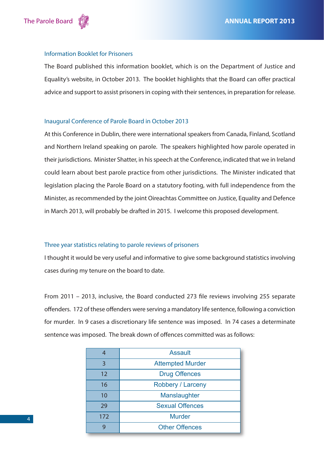#### Information Booklet for Prisoners

The Board published this information booklet, which is on the Department of Justice and Equality's website, in October 2013. The booklet highlights that the Board can offer practical advice and support to assist prisoners in coping with their sentences, in preparation for release.

#### Inaugural Conference of Parole Board in October 2013

At this Conference in Dublin, there were international speakers from Canada, Finland, Scotland and Northern Ireland speaking on parole. The speakers highlighted how parole operated in their jurisdictions. Minister Shatter, in his speech at the Conference, indicated that we in Ireland could learn about best parole practice from other jurisdictions. The Minister indicated that legislation placing the Parole Board on a statutory footing, with full independence from the Minister, as recommended by the joint Oireachtas Committee on Justice, Equality and Defence in March 2013, will probably be drafted in 2015. I welcome this proposed development.

#### Three year statistics relating to parole reviews of prisoners

I thought it would be very useful and informative to give some background statistics involving cases during my tenure on the board to date.

From 2011 – 2013, inclusive, the Board conducted 273 file reviews involving 255 separate offenders. 172 of these offenders were serving a mandatory life sentence, following a conviction for murder. In 9 cases a discretionary life sentence was imposed. In 74 cases a determinate sentence was imposed. The break down of offences committed was as follows:

|     | <b>Assault</b>          |
|-----|-------------------------|
| 3   | <b>Attempted Murder</b> |
| 12  | <b>Drug Offences</b>    |
| 16  | Robbery / Larceny       |
| 10  | Manslaughter            |
| 29  | <b>Sexual Offences</b>  |
| 172 | <b>Murder</b>           |
| q   | <b>Other Offences</b>   |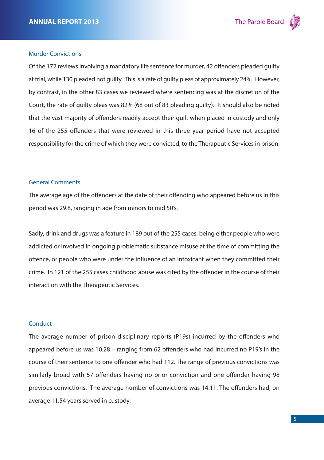#### Murder Convictions

Of the 172 reviews involving a mandatory life sentence for murder, 42 offenders pleaded guilty at trial, while 130 pleaded not quilty. This is a rate of quilty pleas of approximately 24%. However, by contrast, in the other 83 cases we reviewed where sentencing was at the discretion of the Court, the rate of guilty pleas was 82% (68 out of 83 pleading guilty). It should also be noted that the vast majority of offenders readily accept their guilt when placed in custody and only 16 of the 255 offenders that were reviewed in this three year period have not accepted responsibility for the crime of which they were convicted, to the Therapeutic Services in prison.

#### General Comments

The average age of the offenders at the date of their offending who appeared before us in this period was 29.8, ranging in age from minors to mid 50's.

Sadly, drink and drugs was a feature in 189 out of the 255 cases, being either people who were addicted or involved in ongoing problematic substance misuse at the time of committing the offence, or people who were under the influence of an intoxicant when they committed their crime. In 121 of the 255 cases childhood abuse was cited by the offender in the course of their interaction with the Therapeutic Services.

#### **Conduct**

The average number of prison disciplinary reports (P19s) incurred by the offenders who appeared before us was 10.28 – ranging from 62 offenders who had incurred no P19's in the course of their sentence to one offender who had 112. The range of previous convictions was similarly broad with 57 offenders having no prior conviction and one offender having 98 previous convictions. The average number of convictions was 14.11. The offenders had, on average 11.54 years served in custody.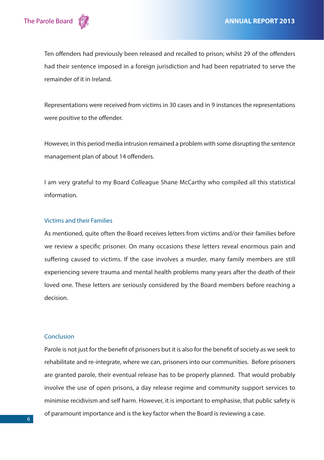

Ten offenders had previously been released and recalled to prison; whilst 29 of the offenders had their sentence imposed in a foreign jurisdiction and had been repatriated to serve the remainder of it in Ireland.

Representations were received from victims in 30 cases and in 9 instances the representations were positive to the offender.

However, in this period media intrusion remained a problem with some disrupting the sentence management plan of about 14 offenders.

I am very grateful to my Board Colleague Shane McCarthy who compiled all this statistical information.

#### Victims and their Families

As mentioned, quite often the Board receives letters from victims and/or their families before we review a specific prisoner. On many occasions these letters reveal enormous pain and suffering caused to victims. If the case involves a murder, many family members are still experiencing severe trauma and mental health problems many years after the death of their loved one. These letters are seriously considered by the Board members before reaching a decision.

#### **Conclusion**

Parole is not just for the benefit of prisoners but it is also for the benefit of society as we seek to rehabilitate and re-integrate, where we can, prisoners into our communities. Before prisoners are granted parole, their eventual release has to be properly planned. That would probably involve the use of open prisons, a day release regime and community support services to minimise recidivism and self harm. However, it is important to emphasise, that public safety is of paramount importance and is the key factor when the Board is reviewing <sup>a</sup> case. 6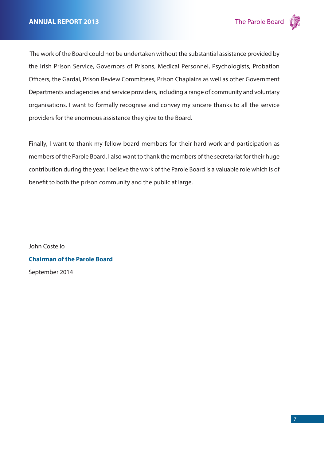

The work of the Board could not be undertaken without the substantial assistance provided by the Irish Prison Service, Governors of Prisons, Medical Personnel, Psychologists, Probation Officers, the Gardaí, Prison Review Committees, Prison Chaplains as well as other Government Departments and agencies and service providers, including a range of community and voluntary organisations. I want to formally recognise and convey my sincere thanks to all the service providers for the enormous assistance they give to the Board.

Finally, I want to thank my fellow board members for their hard work and participation as members of the Parole Board. I also want to thank the members of the secretariat for their huge contribution during the year. I believe the work of the Parole Board is a valuable role which is of benefit to both the prison community and the public at large.

John Costello **Chairman of the Parole Board** September 2014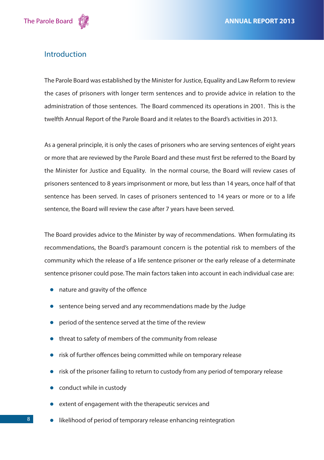# **Introduction**

The Parole Board was established by the Minister for Justice, Equality and Law Reform to review the cases of prisoners with longer term sentences and to provide advice in relation to the administration of those sentences. The Board commenced its operations in 2001. This is the twelfth Annual Report of the Parole Board and it relates to the Board's activities in 2013.

As a general principle, it is only the cases of prisoners who are serving sentences of eight years or more that are reviewed by the Parole Board and these must first be referred to the Board by the Minister for Justice and Equality. In the normal course, the Board will review cases of prisoners sentenced to 8 years imprisonment or more, but less than 14 years, once half of that sentence has been served. In cases of prisoners sentenced to 14 years or more or to a life sentence, the Board will review the case after 7 years have been served.

The Board provides advice to the Minister by way of recommendations. When formulating its recommendations, the Board's paramount concern is the potential risk to members of the community which the release of a life sentence prisoner or the early release of a determinate sentence prisoner could pose. The main factors taken into account in each individual case are:

- $\bullet$  nature and gravity of the offence
- **•** sentence being served and any recommendations made by the Judge
- $\bullet$  period of the sentence served at the time of the review
- $\bullet$  threat to safety of members of the community from release
- **•** risk of further offences being committed while on temporary release
- **•** risk of the prisoner failing to return to custody from any period of temporary release
- $\bullet$  conduct while in custody
- $\bullet$  extent of engagement with the therapeutic services and
- 8 **I** likelihood of period of temporary release enhancing reintegration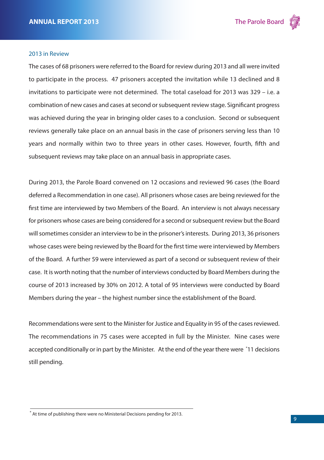

#### 2013 in Review

The cases of 68 prisoners were referred to the Board for review during 2013 and all were invited to participate in the process. 47 prisoners accepted the invitation while 13 declined and 8 invitations to participate were not determined. The total caseload for 2013 was 329 – i.e. a combination of new cases and cases at second or subsequent review stage. Significant progress was achieved during the year in bringing older cases to a conclusion. Second or subsequent reviews generally take place on an annual basis in the case of prisoners serving less than 10 years and normally within two to three years in other cases. However, fourth, fifth and subsequent reviews may take place on an annual basis in appropriate cases.

During 2013, the Parole Board convened on 12 occasions and reviewed 96 cases (the Board deferred a Recommendation in one case). All prisoners whose cases are being reviewed for the first time are interviewed by two Members of the Board. An interview is not always necessary for prisoners whose cases are being considered for a second orsubsequent review but the Board will sometimes consider an interview to be in the prisoner's interests. During 2013, 36 prisoners whose cases were being reviewed by the Board for the first time were interviewed by Members of the Board. A further 59 were interviewed as part of a second or subsequent review of their case. It is worth noting that the number of interviews conducted by Board Members during the course of 2013 increased by 30% on 2012. A total of 95 interviews were conducted by Board Members during the year – the highest number since the establishment of the Board.

Recommendations were sent to the Minister for Justice and Equality in 95 of the cases reviewed. The recommendations in 75 cases were accepted in full by the Minister. Nine cases were accepted conditionally or in part by the Minister. At the end of the year there were \* 11 decisions still pending.

 $^*$  At time of publishing there were no Ministerial Decisions pending for 2013.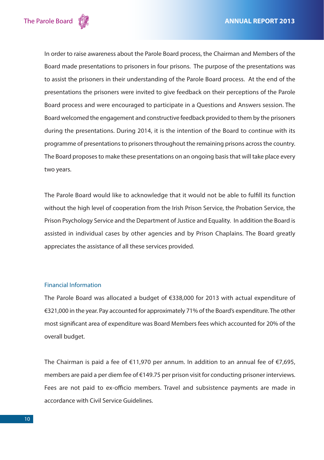

In order to raise awareness about the Parole Board process, the Chairman and Members of the Board made presentations to prisoners in four prisons. The purpose of the presentations was to assist the prisoners in their understanding of the Parole Board process. At the end of the presentations the prisoners were invited to give feedback on their perceptions of the Parole Board process and were encouraged to participate in a Questions and Answers session. The Board welcomed the engagement and constructive feedback provided to them by the prisoners during the presentations. During 2014, it is the intention of the Board to continue with its programme of presentations to prisoners throughout the remaining prisons across the country. The Board proposes to make these presentations on an ongoing basis that will take place every two years.

The Parole Board would like to acknowledge that it would not be able to fulfill its function without the high level of cooperation from the Irish Prison Service, the Probation Service, the Prison Psychology Service and the Department of Justice and Equality. In addition the Board is assisted in individual cases by other agencies and by Prison Chaplains. The Board greatly appreciates the assistance of all these services provided.

#### Financial Information

The Parole Board was allocated a budget of €338,000 for 2013 with actual expenditure of €321,000 in the year. Pay accounted for approximately 71% of the Board's expenditure. The other most significant area of expenditure was Board Members fees which accounted for 20% of the overall budget.

The Chairman is paid a fee of  $€11,970$  per annum. In addition to an annual fee of  $€7,695$ , members are paid a per diem fee of €149.75 per prison visit for conducting prisoner interviews. Fees are not paid to ex-officio members. Travel and subsistence payments are made in accordance with Civil Service Guidelines.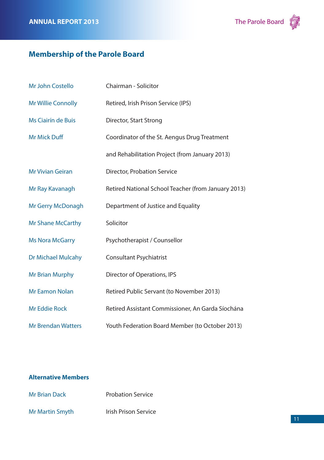

# **Membership of the Parole Board**

| Mr John Costello          | Chairman - Solicitor                                |
|---------------------------|-----------------------------------------------------|
| <b>Mr Willie Connolly</b> | Retired, Irish Prison Service (IPS)                 |
| Ms Ciairín de Buis        | <b>Director, Start Strong</b>                       |
| <b>Mr Mick Duff</b>       | Coordinator of the St. Aengus Drug Treatment        |
|                           | and Rehabilitation Project (from January 2013)      |
| <b>Mr Vivian Geiran</b>   | <b>Director, Probation Service</b>                  |
| Mr Ray Kavanagh           | Retired National School Teacher (from January 2013) |
| <b>Mr Gerry McDonagh</b>  | Department of Justice and Equality                  |
| <b>Mr Shane McCarthy</b>  | Solicitor                                           |
| <b>Ms Nora McGarry</b>    | Psychotherapist / Counsellor                        |
| <b>Dr Michael Mulcahy</b> | <b>Consultant Psychiatrist</b>                      |
| <b>Mr Brian Murphy</b>    | Director of Operations, IPS                         |
| <b>Mr Eamon Nolan</b>     | Retired Public Servant (to November 2013)           |
| <b>Mr Eddie Rock</b>      | Retired Assistant Commissioner, An Garda Síochána   |
| <b>Mr Brendan Watters</b> | Youth Federation Board Member (to October 2013)     |

#### **Alternative Members**

| <b>Mr Brian Dack</b>   | <b>Probation Service</b>    |
|------------------------|-----------------------------|
| <b>Mr Martin Smyth</b> | <b>Irish Prison Service</b> |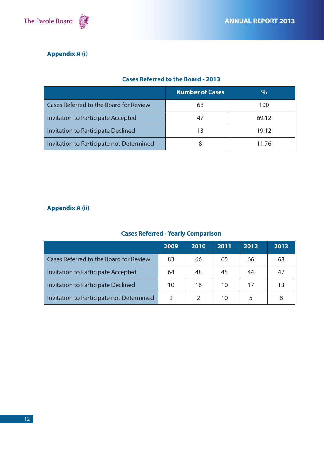

# **Appendix A (i)**

#### **Cases Referred to the Board - 2013**

|                                               | Number of Cases | $\%$  |
|-----------------------------------------------|-----------------|-------|
| <b>Cases Referred to the Board for Review</b> | 68              | 100   |
| Invitation to Participate Accepted            | 47              | 69.12 |
| Invitation to Participate Declined            | 13              | 19.12 |
| Invitation to Participate not Determined      | 8               | 11.76 |

# **Appendix A (ii)**

# **Cases Referred - Yearly Comparison**

|                                          | 2009 | 2010 | 2011 | 2012 | 2013 |
|------------------------------------------|------|------|------|------|------|
| Cases Referred to the Board for Review   | 83   | 66   | 65   | 66   | 68   |
| Invitation to Participate Accepted       | 64   | 48   | 45   | 44   | 47   |
| Invitation to Participate Declined       | 10   | 16   | 10   | 17   | 13   |
| Invitation to Participate not Determined | 9    |      | 10   | 5    | 8    |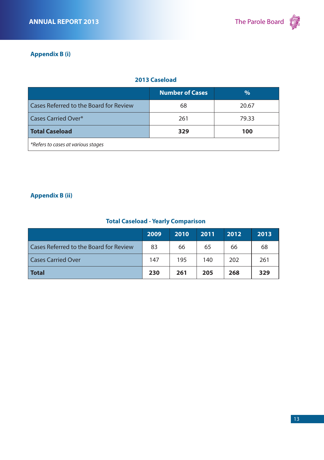

# **Appendix B (i)**

# **2013 Caseload**

|                                               | <b>Number of Cases</b> | $\%$  |
|-----------------------------------------------|------------------------|-------|
| <b>Cases Referred to the Board for Review</b> | 68                     | 20.67 |
| <b>Cases Carried Over*</b>                    | 261                    | 79.33 |
| <b>Total Caseload</b>                         | 329                    | 100   |
| *Refers to cases at various stages            |                        |       |

# **Appendix B (ii)**

# **Total Caseload - Yearly Comparison**

|                                               | 2009 | 2010 | 2011 | 2012 | 2013 |
|-----------------------------------------------|------|------|------|------|------|
| <b>Cases Referred to the Board for Review</b> | 83   | 66   | 65   | 66   | 68   |
| <b>Cases Carried Over</b>                     | 147  | 195  | 140  | 202  | 261  |
| Total                                         | 230  | 261  | 205  | 268  | 329  |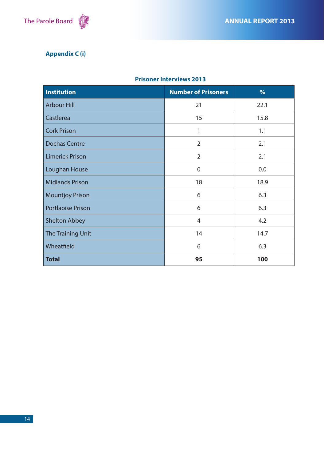



# **Appendix C (i)**

#### **Prisoner Interviews 2013**

| <b>Institution</b>       | <b>Number of Prisoners</b> | $\%$ |
|--------------------------|----------------------------|------|
| <b>Arbour Hill</b>       | 21                         | 22.1 |
| Castlerea                | 15                         | 15.8 |
| <b>Cork Prison</b>       | 1                          | 1.1  |
| <b>Dochas Centre</b>     | $\overline{2}$             | 2.1  |
| <b>Limerick Prison</b>   | $\overline{2}$             | 2.1  |
| Loughan House            | $\overline{0}$             | 0.0  |
| <b>Midlands Prison</b>   | 18                         | 18.9 |
| <b>Mountjoy Prison</b>   | 6                          | 6.3  |
| <b>Portlaoise Prison</b> | 6                          | 6.3  |
| <b>Shelton Abbey</b>     | $\overline{4}$             | 4.2  |
| <b>The Training Unit</b> | 14                         | 14.7 |
| Wheatfield               | 6                          | 6.3  |
| <b>Total</b>             | 95                         | 100  |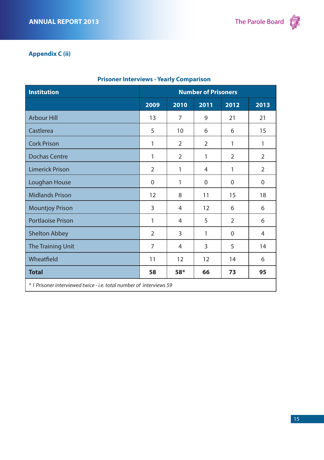

# **Appendix C (ii)**

| <b>THE READ TELL AND THE READY COMPUTER</b>                         |                            |                |                |                |                |
|---------------------------------------------------------------------|----------------------------|----------------|----------------|----------------|----------------|
| <b>Institution</b>                                                  | <b>Number of Prisoners</b> |                |                |                |                |
|                                                                     | 2009                       | 2010           | 2011           | 2012           | 2013           |
| <b>Arbour Hill</b>                                                  | 13                         | 7              | 9              | 21             | 21             |
| Castlerea                                                           | 5                          | 10             | 6              | 6              | 15             |
| <b>Cork Prison</b>                                                  | 1                          | 2              | $\overline{2}$ | 1              | $\mathbf{1}$   |
| <b>Dochas Centre</b>                                                | 1                          | $\overline{2}$ | 1              | $\overline{2}$ | $\overline{2}$ |
| <b>Limerick Prison</b>                                              | $\overline{2}$             | 1              | $\overline{4}$ | 1              | $\overline{2}$ |
| Loughan House                                                       | $\mathbf 0$                | 1              | $\overline{0}$ | $\overline{0}$ | $\overline{0}$ |
| <b>Midlands Prison</b>                                              | 12                         | 8              | 11             | 15             | 18             |
| <b>Mountjoy Prison</b>                                              | 3                          | $\overline{4}$ | 12             | 6              | 6              |
| <b>Portlaoise Prison</b>                                            | 1                          | $\overline{4}$ | 5              | $\overline{2}$ | 6              |
| <b>Shelton Abbey</b>                                                | $\overline{2}$             | 3              | 1              | $\overline{0}$ | $\overline{4}$ |
| <b>The Training Unit</b>                                            | 7                          | 4              | 3              | 5              | 14             |
| Wheatfield                                                          | 11                         | 12             | 12             | 14             | 6              |
| <b>Total</b>                                                        | 58                         | 58*            | 66             | 73             | 95             |
| * 1 Prisoner interviewed twice - i.e. total number of interviews 59 |                            |                |                |                |                |

#### **Prisoner Interviews - Yearly Comparison**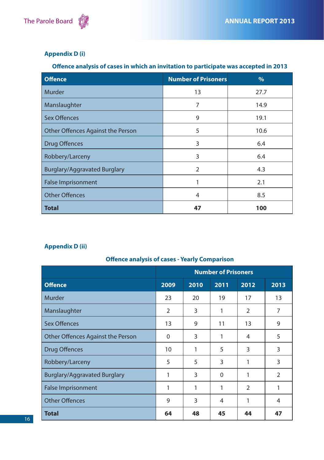

# **Appendix D (i)**

# **Offence analysis of cases in which an invitation to participate was accepted in 2013**

| <b>Offence</b>                           | <b>Number of Prisoners</b> | $\%$ |
|------------------------------------------|----------------------------|------|
| Murder                                   | 13                         | 27.7 |
| Manslaughter                             | 7                          | 14.9 |
| <b>Sex Offences</b>                      | 9                          | 19.1 |
| <b>Other Offences Against the Person</b> | 5                          | 10.6 |
| <b>Drug Offences</b>                     | 3                          | 6.4  |
| Robbery/Larceny                          | 3                          | 6.4  |
| <b>Burglary/Aggravated Burglary</b>      | $\overline{2}$             | 4.3  |
| <b>False Imprisonment</b>                |                            | 2.1  |
| <b>Other Offences</b>                    | 4                          | 8.5  |
| <b>Total</b>                             | 47                         | 100  |

# **Appendix D (ii)**

# **Offence analysis of cases - Yearly Comparison**

|                                          | <b>Number of Prisoners</b> |      |                |                |                |
|------------------------------------------|----------------------------|------|----------------|----------------|----------------|
| <b>Offence</b>                           | 2009                       | 2010 | 2011           | 2012           | 2013           |
| <b>Murder</b>                            | 23                         | 20   | 19             | 17             | 13             |
| Manslaughter                             | $\overline{2}$             | 3    | 1              | $\overline{2}$ | 7              |
| <b>Sex Offences</b>                      | 13                         | 9    | 11             | 13             | 9              |
| <b>Other Offences Against the Person</b> | 0                          | 3    | 1              | 4              | 5              |
| <b>Drug Offences</b>                     | 10                         | 1    | 5              | 3              | 3              |
| Robbery/Larceny                          | 5                          | 5    | 3              | 1              | 3              |
| <b>Burglary/Aggravated Burglary</b>      | 1                          | 3    | $\overline{0}$ | 1              | $\overline{2}$ |
| <b>False Imprisonment</b>                | 1                          | 1    | 1              | $\overline{2}$ | 1              |
| <b>Other Offences</b>                    | 9                          | 3    | 4              | 1              | 4              |
| <b>Total</b>                             | 64                         | 48   | 45             | 44             | 47             |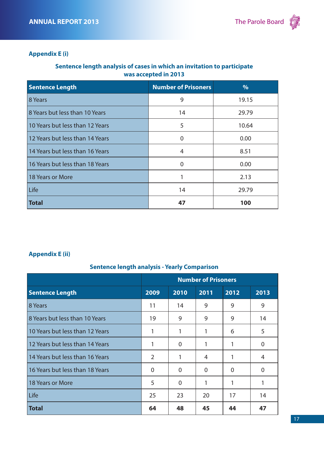#### **Appendix E (i)**

# **Sentence length analysis of cases in which an invitation to participate was accepted in 2013**

| <b>Sentence Length</b>          | <b>Number of Prisoners</b> | $\%$  |
|---------------------------------|----------------------------|-------|
| 8 Years                         | 9                          | 19.15 |
| 8 Years but less than 10 Years  | 14                         | 29.79 |
| 10 Years but less than 12 Years | 5                          | 10.64 |
| 12 Years but less than 14 Years | $\Omega$                   | 0.00  |
| 14 Years but less than 16 Years | 4                          | 8.51  |
| 16 Years but less than 18 Years | 0                          | 0.00  |
| 18 Years or More                |                            | 2.13  |
| Life                            | 14                         | 29.79 |
| <b>Total</b>                    | 47                         | 100   |

# **Appendix E (ii)**

# **Sentence length analysis - Yearly Comparison**

|                                 | <b>Number of Prisoners</b> |                |      |          |      |
|---------------------------------|----------------------------|----------------|------|----------|------|
| <b>Sentence Length</b>          | 2009                       | 2010           | 2011 | 2012     | 2013 |
| 8 Years                         | 11                         | 14             | 9    | 9        | 9    |
| 8 Years but less than 10 Years  | 19                         | 9              | 9    | 9        | 14   |
| 10 Years but less than 12 Years |                            |                |      | 6        | 5    |
| 12 Years but less than 14 Years |                            | 0              | 1    | 1        | 0    |
| 14 Years but less than 16 Years | $\overline{2}$             | 1              | 4    |          | 4    |
| 16 Years but less than 18 Years | $\overline{0}$             | $\overline{0}$ | 0    | $\Omega$ | 0    |
| 18 Years or More                | 5                          | $\Omega$       | 1    |          |      |
| Life                            | 25                         | 23             | 20   | 17       | 14   |
| <b>Total</b>                    | 64                         | 48             | 45   | 44       | 47   |